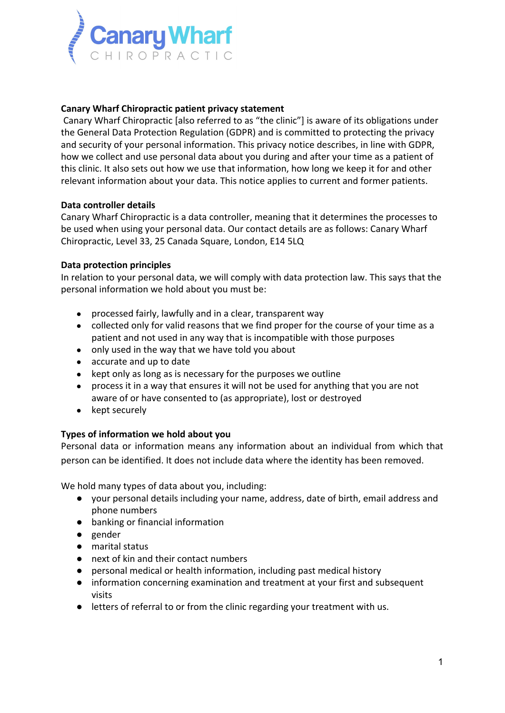

## **Canary Wharf Chiropractic patient privacy statement**

Canary Wharf Chiropractic [also referred to as "the clinic"] is aware of its obligations under the General Data Protection Regulation (GDPR) and is committed to protecting the privacy and security of your personal information. This privacy notice describes, in line with GDPR, how we collect and use personal data about you during and after your time as a patient of this clinic. It also sets out how we use that information, how long we keep it for and other relevant information about your data. This notice applies to current and former patients.

### **Data controller details**

Canary Wharf Chiropractic is a data controller, meaning that it determines the processes to be used when using your personal data. Our contact details are as follows: Canary Wharf Chiropractic, Level 33, 25 Canada Square, London, E14 5LQ

## **Data protection principles**

In relation to your personal data, we will comply with data protection law. This says that the personal information we hold about you must be:

- processed fairly, lawfully and in a clear, transparent way
- collected only for valid reasons that we find proper for the course of your time as a patient and not used in any way that is incompatible with those purposes
- only used in the way that we have told you about
- accurate and up to date
- kept only as long as is necessary for the purposes we outline
- process it in a way that ensures it will not be used for anything that you are not aware of or have consented to (as appropriate), lost or destroyed
- kept securely

### **Types of information we hold about you**

Personal data or information means any information about an individual from which that person can be identified. It does not include data where the identity has been removed.

We hold many types of data about you, including:

- your personal details including your name, address, date of birth, email address and phone numbers
- banking or financial information
- gender
- marital status
- next of kin and their contact numbers
- personal medical or health information, including past medical history
- information concerning examination and treatment at your first and subsequent visits
- letters of referral to or from the clinic regarding your treatment with us.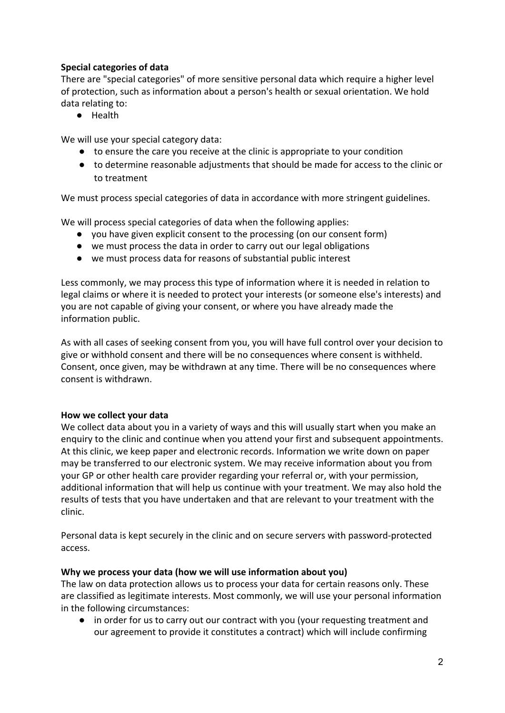# **Special categories of data**

There are "special categories" of more sensitive personal data which require a higher level of protection, such as information about a person's health or sexual orientation. We hold data relating to:

● Health

We will use your special category data:

- to ensure the care you receive at the clinic is appropriate to your condition
- to determine reasonable adjustments that should be made for access to the clinic or to treatment

We must process special categories of data in accordance with more stringent guidelines.

We will process special categories of data when the following applies:

- you have given explicit consent to the processing (on our consent form)
- we must process the data in order to carry out our legal obligations
- we must process data for reasons of substantial public interest

Less commonly, we may process this type of information where it is needed in relation to legal claims or where it is needed to protect your interests (or someone else's interests) and you are not capable of giving your consent, or where you have already made the information public.

As with all cases of seeking consent from you, you will have full control over your decision to give or withhold consent and there will be no consequences where consent is withheld. Consent, once given, may be withdrawn at any time. There will be no consequences where consent is withdrawn.

# **How we collect your data**

We collect data about you in a variety of ways and this will usually start when you make an enquiry to the clinic and continue when you attend your first and subsequent appointments. At this clinic, we keep paper and electronic records. Information we write down on paper may be transferred to our electronic system. We may receive information about you from your GP or other health care provider regarding your referral or, with your permission, additional information that will help us continue with your treatment. We may also hold the results of tests that you have undertaken and that are relevant to your treatment with the clinic.

Personal data is kept securely in the clinic and on secure servers with password-protected access.

# **Why we process your data (how we will use information about you)**

The law on data protection allows us to process your data for certain reasons only. These are classified as legitimate interests. Most commonly, we will use your personal information in the following circumstances:

● in order for us to carry out our contract with you (your requesting treatment and our agreement to provide it constitutes a contract) which will include confirming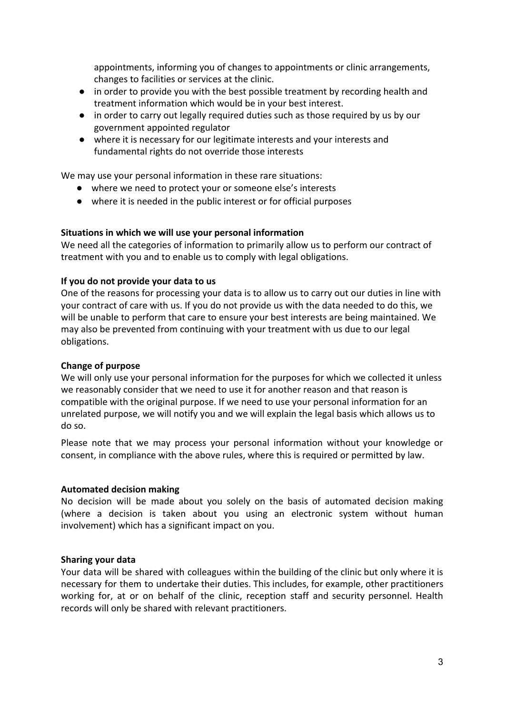appointments, informing you of changes to appointments or clinic arrangements, changes to facilities or services at the clinic.

- in order to provide you with the best possible treatment by recording health and treatment information which would be in your best interest.
- in order to carry out legally required duties such as those required by us by our government appointed regulator
- where it is necessary for our legitimate interests and your interests and fundamental rights do not override those interests

We may use your personal information in these rare situations:

- where we need to protect your or someone else's interests
- where it is needed in the public interest or for official purposes

#### **Situations in which we will use your personal information**

We need all the categories of information to primarily allow us to perform our contract of treatment with you and to enable us to comply with legal obligations.

#### **If you do not provide your data to us**

One of the reasons for processing your data is to allow us to carry out our duties in line with your contract of care with us. If you do not provide us with the data needed to do this, we will be unable to perform that care to ensure your best interests are being maintained. We may also be prevented from continuing with your treatment with us due to our legal obligations.

### **Change of purpose**

We will only use your personal information for the purposes for which we collected it unless we reasonably consider that we need to use it for another reason and that reason is compatible with the original purpose. If we need to use your personal information for an unrelated purpose, we will notify you and we will explain the legal basis which allows us to do so.

Please note that we may process your personal information without your knowledge or consent, in compliance with the above rules, where this is required or permitted by law.

#### **Automated decision making**

No decision will be made about you solely on the basis of automated decision making (where a decision is taken about you using an electronic system without human involvement) which has a significant impact on you.

#### **Sharing your data**

Your data will be shared with colleagues within the building of the clinic but only where it is necessary for them to undertake their duties. This includes, for example, other practitioners working for, at or on behalf of the clinic, reception staff and security personnel. Health records will only be shared with relevant practitioners.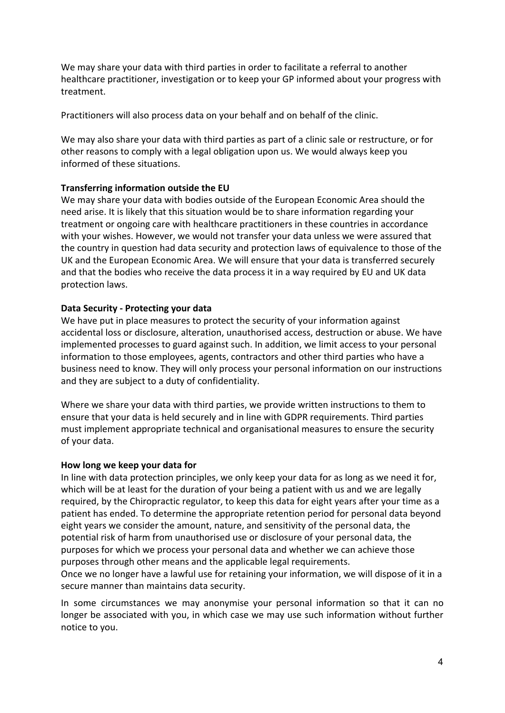We may share your data with third parties in order to facilitate a referral to another healthcare practitioner, investigation or to keep your GP informed about your progress with treatment.

Practitioners will also process data on your behalf and on behalf of the clinic.

We may also share your data with third parties as part of a clinic sale or restructure, or for other reasons to comply with a legal obligation upon us. We would always keep you informed of these situations.

## **Transferring information outside the EU**

We may share your data with bodies outside of the European Economic Area should the need arise. It is likely that this situation would be to share information regarding your treatment or ongoing care with healthcare practitioners in these countries in accordance with your wishes. However, we would not transfer your data unless we were assured that the country in question had data security and protection laws of equivalence to those of the UK and the European Economic Area. We will ensure that your data is transferred securely and that the bodies who receive the data process it in a way required by EU and UK data protection laws.

## **Data Security - Protecting your data**

We have put in place measures to protect the security of your information against accidental loss or disclosure, alteration, unauthorised access, destruction or abuse. We have implemented processes to guard against such. In addition, we limit access to your personal information to those employees, agents, contractors and other third parties who have a business need to know. They will only process your personal information on our instructions and they are subject to a duty of confidentiality.

Where we share your data with third parties, we provide written instructions to them to ensure that your data is held securely and in line with GDPR requirements. Third parties must implement appropriate technical and organisational measures to ensure the security of your data.

### **How long we keep your data for**

In line with data protection principles, we only keep your data for as long as we need it for, which will be at least for the duration of your being a patient with us and we are legally required, by the Chiropractic regulator, to keep this data for eight years after your time as a patient has ended. To determine the appropriate retention period for personal data beyond eight years we consider the amount, nature, and sensitivity of the personal data, the potential risk of harm from unauthorised use or disclosure of your personal data, the purposes for which we process your personal data and whether we can achieve those purposes through other means and the applicable legal requirements.

Once we no longer have a lawful use for retaining your information, we will dispose of it in a secure manner than maintains data security.

In some circumstances we may anonymise your personal information so that it can no longer be associated with you, in which case we may use such information without further notice to you.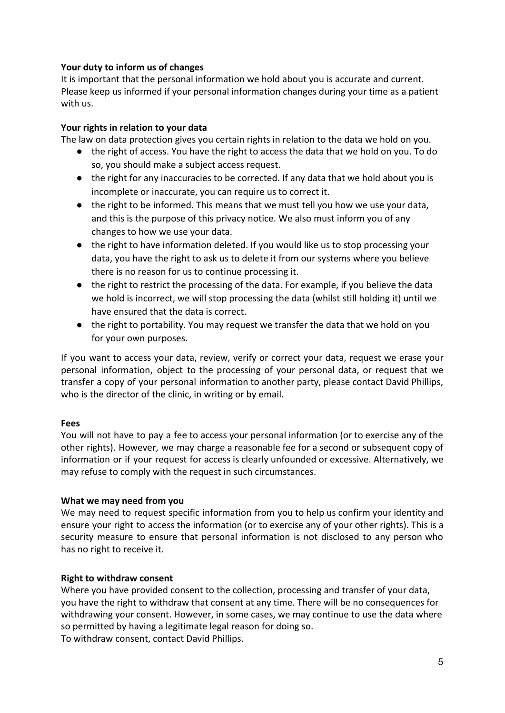# **Your duty to inform us of changes**

It is important that the personal information we hold about you is accurate and current. Please keep us informed if your personal information changes during your time as a patient with us.

# **Your rights in relation to your data**

The law on data protection gives you certain rights in relation to the data we hold on you.

- the right of access. You have the right to access the data that we hold on you. To do so, you should make a subject access request.
- the right for any inaccuracies to be corrected. If any data that we hold about you is incomplete or inaccurate, you can require us to correct it.
- the right to be informed. This means that we must tell you how we use your data, and this is the purpose of this privacy notice. We also must inform you of any changes to how we use your data.
- the right to have information deleted. If you would like us to stop processing your data, you have the right to ask us to delete it from our systems where you believe there is no reason for us to continue processing it.
- the right to restrict the processing of the data. For example, if you believe the data we hold is incorrect, we will stop processing the data (whilst still holding it) until we have ensured that the data is correct.
- the right to portability. You may request we transfer the data that we hold on you for your own purposes.

If you want to access your data, review, verify or correct your data, request we erase your personal information, object to the processing of your personal data, or request that we transfer a copy of your personal information to another party, please contact David Phillips, who is the director of the clinic, in writing or by email.

### **Fees**

You will not have to pay a fee to access your personal information (or to exercise any of the other rights). However, we may charge a reasonable fee for a second or subsequent copy of information or if your request for access is clearly unfounded or excessive. Alternatively, we may refuse to comply with the request in such circumstances.

### **What we may need from you**

We may need to request specific information from you to help us confirm your identity and ensure your right to access the information (or to exercise any of your other rights). This is a security measure to ensure that personal information is not disclosed to any person who has no right to receive it.

# **Right to withdraw consent**

Where you have provided consent to the collection, processing and transfer of your data, you have the right to withdraw that consent at any time. There will be no consequences for withdrawing your consent. However, in some cases, we may continue to use the data where so permitted by having a legitimate legal reason for doing so. To withdraw consent, contact David Phillips.